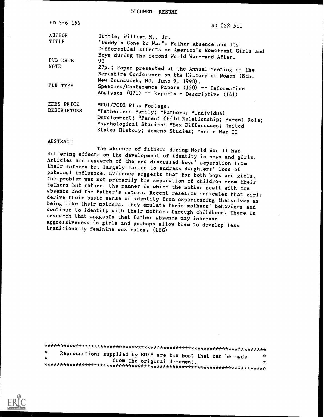DOCUMEN'i RESUME

| ED 356 156                       | SO 022 511                                                                                                                                                                                                                        |  |  |  |  |
|----------------------------------|-----------------------------------------------------------------------------------------------------------------------------------------------------------------------------------------------------------------------------------|--|--|--|--|
| <b>AUTHOR</b>                    | Tuttle, William M., Jr.                                                                                                                                                                                                           |  |  |  |  |
| TITLE                            | "Daddy's Gone to War": Father Absence and Its<br>Differential Effects on America's Homefront Girls and<br>Boys during the Second World War--and After.                                                                            |  |  |  |  |
| PUB DATE                         | 90                                                                                                                                                                                                                                |  |  |  |  |
| <b>NOTE</b>                      | 27p.; Paper presented at the Annual Meeting of the<br>Berkshire Conference on the History of Women (8th,                                                                                                                          |  |  |  |  |
| PUB TYPE                         | New Brunswick, NJ, June 9, 1990).<br>Speeches/Conference Papers (150) -- Information<br>Analyses (070) -- Reports - Descriptive (141)                                                                                             |  |  |  |  |
| EDRS PRICE<br><b>DESCRIPTORS</b> | MF01/PC02 Plus Postage.<br>*Fatherless Family; *Fathers; *Individual<br>Development; *Parent Child Relationship; Parent Role;<br>Psychological Studies; *Sex Differences; United<br>States History; Womens Studies; *World War II |  |  |  |  |

## ABSTRACT

The absence of fathers during World War II had<br>differing effects on the development of identity in boys and girls. Articles and research of the era discussed boys' separation from their fathers but largely failed to address daughters' loss of<br>paternal influence. Evidence suggests that for both boys and girls, the problem was not primarily the separation of children from their fathers but rather, the manner in which the mother dealt with the absence and the father's return. Recent research indicates that girls derive their basic sense of identity from experiencing themselves as being like their mothers. They emulate their mothers' behaviors and continue to identify with their mothers through childhood. There is research that suggests that father absence may increase aggressiveness in girls and perhaps allow them to develop less traditionally feminine sex roles. (LBG)

| - se<br>-sk- | Reproductions supplied by EDRS are the best that can be made | from the original document. |  | ×<br>÷ |
|--------------|--------------------------------------------------------------|-----------------------------|--|--------|

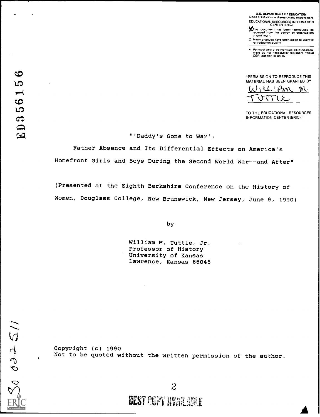U.S. DEPARTMENT OF EDUCATION Otfice of Educational Researcn and Improvement EDUCATIONAL RESOURCES INFORMATION

gThis document has been reproduced as received from the person or organization originating il.

0 Minor changes have been made to improve reproduction quality

Points of view or opinions stated in this docu-<br>ment do inot inecessarily represent official position or policy

**CO**<br> **CONCERNISSION TO REPRODUCE THIS**<br> **CONCERNISSION TO REPRODUCE THIS** MATERIAL HAS BEEN GRANTED BY

 $W_1$ ll-IAM M.  $\frac{1}{\text{TUTE}}$ 

TO THE EDUCATIONAL RESOURCES INFORMATION CENTER (ERIC)"

cil "'Daddy's Gone to War':

Father Absence and Its Differential Effects on America's Homefront Girls and Boys During the Second World War--and After"

(Presented at the Eighth Berkshire Conference on the History of Women, Douglass College, New Brunswick, New Jersey, June 9, 1990)

by

William M. Tuttle, Jr. Professor of History University of Kansas Lawrence, Kansas 66045

 $\zeta_0$  oto  $\zeta_1$  $\mathcal{I}(\mathcal{I})$ 

Copyright (c) 1990 Not to be quoted without the written permission of the author.

2 BEST POPY AVAILABLE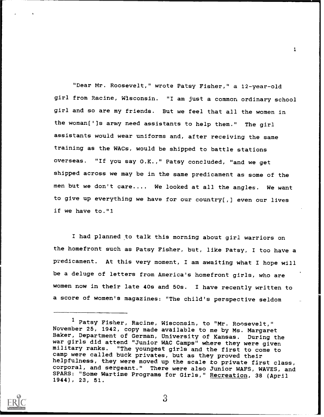"Dear Mr. Roosevelt," wrote Patsy Fisher," a 12-year-old girl from Racine, Wisconsin. "I am just a common ordinary school girl and so are my friends. But we feel that all the women in the woman[']s army need assistants to help them." The girl assistants would wear uniforms and, after receiving the same training as the WACs, would be shipped to battle stations overseas. "If you say O.K.," Patsy concluded, "and we get shipped across we may be in the same predicament as some of the men but we don't care.... We looked at all the angles. We want to give up everything we have for our country[,] even our lives if we have to."1

 $\blacksquare$ 

I had planned to talk this morning about girl warriors on the homefront such as Patsy Fisher, but, like Patsy, I too have a predicament. At this very moment, I am awaiting what I hope will be a deluge of letters from America's homefront girls, who are women now in their late 40s and 50s. I have recently written to a score of women's magazines: "The child's perspective seldom



<sup>1</sup> Patsy Fisher, Racine, Wisconsin, to "Mr. Roosevelt," November 25, 1942, copy made available to me by Ms. Margaret Baker, Department of German, University of Kansas. During the war girls did attend "Junior WAC Camps" where they were given military ranks. "The youngest girls and the first to come to camp were called buck privates, but as they proved their helpfulness, they were moved up the scale to private first class, corporal, and sergeant." There were also Junior WAFS, WAVES, and SPARS: "Some Wartime Programs for Girls," Recreation, 38 (April 1944), 23, 51.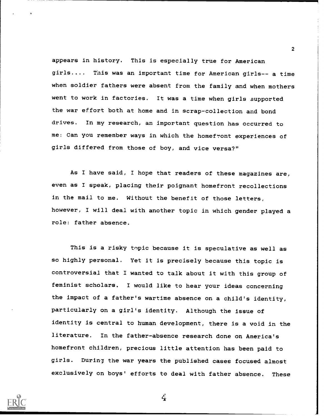appears in history. This is especially true for American girls.... This was an important time for American girls-- a time when soldier fathers were absent from the family and when mothers went to work in factories. It was a time when girls supported the war effort both at home and in scrap-collection and bond drives. In my research, an important question has occurred to me: Can you remember ways in which the homefront experiences of girls differed from those of boy, and vice versa?"

As I have said, I hope that readers of these magazines are, even as I speak, placing their poignant homefront recollections in the mail to me. Without the benefit of those letters, however, I will deal with another topic in which gender played a role: father absence.

This is a risky topic because it is speculative as well as so highly personal. Yet it is precisely because this topic is controversial that I wanted to talk about it with this group of feminist scholars. I would like to hear your ideas concerning the impact of a father's wartime absence on a child's identity, particularly on a girl's identity. Although the issue of identity is central to human development, there is a void in the literature. In the father-absence research done on America's homefront children, precious little attention has been paid to girls. During the war years the published cases focused almost exclusively on boys' efforts to deal with father absence. These



4

 $\epsilon$  and  $\epsilon$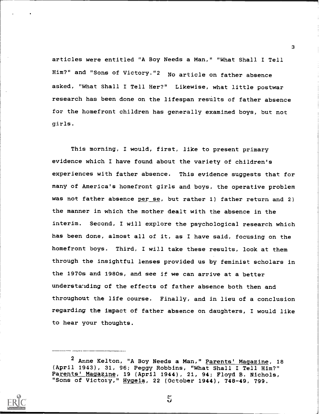articles were entitled "A Boy Needs a Man," "What Shall I Tell Him?" and "Sons of Victory."2 No article on father absence asked, "What Shall I Tell Her?" Likewise, what little postwar research has been done on the lifespan results of father absence for the homefront children has generally examined boys, but not girls.

This morning, I would, first, like to present primary evidence which I have found about the variety of children's experiences with father absence. This evidence suggests that for many of America's homefront girls and boys, the operative problem was not father absence per se, but rather 1) father return and 2) the manner in which the mother dealt with the absence in the interim. Second, I will explore the psychological research which has been done, almost all of it, as I have said, focusing on the homefront boys. Third, I will take these results, look at them through the insightful lenses provided us by feminist scholars in the 1970s and 1980s, and see if we can arrive at a better understanding of the effects of father absence both then and throughout the life course. Finally, and in lieu of a conclusion regarding the impact of father absence on daughters, I would like to hear your thoughts.

<sup>&</sup>lt;sup>2</sup> Anne Kelton, "A Boy Needs a Man," Parents' Magazine, 18 (April 1943), 31, 96; Peggy Robbins, "What Shall I Tell Him?" Parents' Magazine, 19 (April 1944), 21, 94; Floyd B. Nichols, "Sons of Victory," Hygeia, 22 (October 1944), 748-49, 799.



 $5\overline{a}$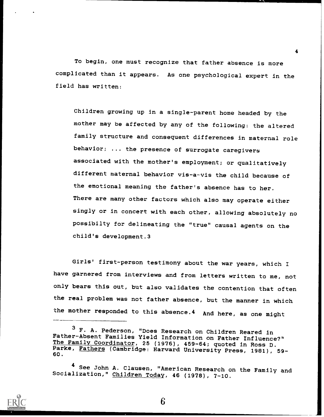To begin, one must recognize that father absence is more complicated than it appears. As one psychological expert in the field has written:

Children growing up in a single-parent home headed by the mother may be affected by any of the following: the altered family structure and consequent differences in maternal role behavior; ... the presence of surrogate caregivers associated with the mother's employment; or qualitatively different maternal behavior vis-a-vis the child because of the emotional meaning the father's absence has to her. There are many other factors which also may operate either singly or in concert with each other, allowing absolutely no possibilty for delineating the "true" causal agents on the child's development.3

Girls' first-person testimony about the war years, which I have garnered from interviews and from letters written to me, not only bears this out, but also validates the contention that often the real problem was not father absence, but the manner in which the mother responded to this absence.4 And here, as one might



6

<sup>3</sup> F. A. Pederson, "Does Research on Children Reared in Father-Absent Families Yield Information on Father Influence?"<br>The Family Coordinator, 25 (1976), 459-64; quoted in Ross D. The Family Coordinator, 25 (1976), 459-64; quoted in Ross D.<br>Parke, <u>Fathers</u> (Cambridge: Harvard University Press, 1981), 59-**1982.**<br>60.

See John A. Clausen, "American Research on the Family and Socialization," Children Today, 46 (1978), 7-10.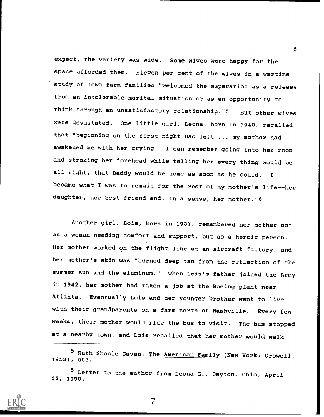expect, the variety was wide. Some wives were happy for the space afforded them. Eleven per cent of the wives in a wartime study of Iowa farm families "welcomed the separation as a release from an intolerable marital situation or as an opportunity to think through an unsatisfactory relationship."5 But other wives were devastated. One little girl, Leona, born in 1940, recalled that "beginning on the first night Dad left ... my mother had awakened me with her crying. I can remember going into her room and stroking her forehead while telling her every thing would be all right, that Daddy would be home as soon as he could. <sup>I</sup> became what I was to remain for the rest of my mother's life--her daughter, her best friend and, in a sense, her mother."6

Another girl, Lois, born in 1937, remembered her mother not as a woman needing comfort and support, but as a heroic person. Her mother worked on the flight line at an aircraft factory, and her mother's skin was "burned deep tan from the reflection of the summer sun and the aluminum." When Lois's father joined the Army in 1942, her mother had taken a job at the Boeing plant near Atlanta. Eventually Lois and her younger brother went to live with their grandparents on a farm north of Nashville. Every few weeks, their mother would ride the bus to visit. The bus stopped at a nearby town, and Lois recalled that her mother would walk

<sup>5</sup> Ruth Shonle Cavan, The American Family (New York: Crowell, 1953), 553.

<sup>6</sup> Letter to the author from Leona G., Dayton, Ohio, April 12, 1990.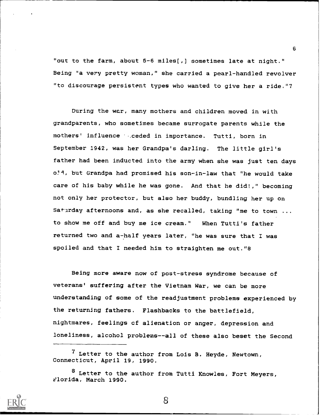"out to the farm, about 5-6 miles(,) sometimes late at night." Being "a very pretty woman," she carried a pearl-handled revolver "to discourage persistent types who wanted to give her a ride."7

During the war, many mothers and children moved in with grandparents, who sometimes became surrogate parents while the mothers' influence ...ceded in importance. Tutti, born in September 1942, was her Grandpa's darling. The little girl's father had been inducted into the army when she was just ten days o:11, but Grandpa had promised his son-in-law that "he would take care of his baby while he was gone. And that he did!," becoming not only her protector, but also her buddy, bundling her up on Saturday afternoons and, as she recalled, taking "me to town ... to show me off and buy me ice cream." When Tutti's father returned two and a-half years later, "he was sure that I was spoiled and that I needed him to straighten me out."8

Being more aware now of post-stress syndrome because of veterans' suffering after the Vietnam War, we can be more understanding of some of the readjustment problems experienced by the returning fathers. Flashbacks to the battlefield, nightmares, feelings cf alienation or anger, depression and loneliness, alcohol problems- -all of these also beset the Second

 $\overline{6}$ 



<sup>7</sup> Letter to the author from Lois B. Heyde, Newtown, Connecticut, April 19, 1990.

<sup>8</sup> Letter to the author from Tutti Knowles, Fort Meyers, ?lorida, March 1990.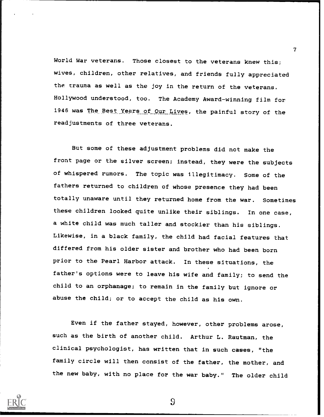World War veterans. Those closest to the veterans knew this; wives, children, other relatives, and friends fully appreciated the trauma as well as the joy in the return of the veterans. Hollywood understood, too. The Academy Award-winning film for 1946 was The Best Years of Our Lives, the painful story of the readjustments of three veterans.

But some of these adjustment problems did not make the front page or the silver screen; instead, they were the subjects of whispered rumors. The topic was illegitimacy. Some of the fathers returned to children of whose presence they had been totally unaware until they returned home from the war. Sometimes these children looked quite unlike their siblings. In one case, a white child was much taller and stockier than his siblings. Likewise, in a black family, the child had facial features that differed from his older sister and brother who had been born prior to the Pearl Harbor attack. In these situations, the father's options were to leave his wife and family; to send the child to an orphanage; to remain in the family but ignore or abuse the child; or to accept the child as his own.

Even if the father stayed, however, other problems arose, such as the birth of another child. Arthur L. Rautman, the clinical psychologist, has written that in such cases, "the family circle will then consist of the father, the mother, and the new baby, with no place for the war baby." The older child



9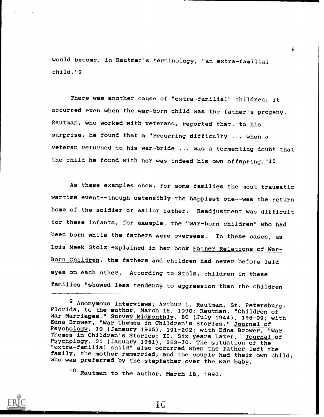would become, in Rautmar's terminology, "an extra-familial child."9

There was another cause of "extra-familial" children; it occurred even when the war-born child was the father's progeny. Rautman, who worked with veterans, reported that, to his surprise, he found that a "recurring difficulty ... when a veteran returned to his war-bride ... was a tormenting doubt that the child he found with her was indeed his own offspring."10

As these examples show, for some families the most traumatic wartime event--though ostensibly the happiest one--was the return home of the soldier or sailor father. Readjustment was difficult for these infants, for example, the "war-born children" who had been born while the fathers were overseas. In these cases, as Lois Meek Stolz explained in her book Father Relations of War-Born Children, the fathers and children had never before laid eyes on each other. According to Stolz, children in these families "showed less tendency to aggression than the children

<sup>10</sup> Rautman to the author, March 18, 1990.



<sup>9</sup> Anonymous interviews; Arthur L. Rautman, St. Petersburg, Florida, to the author, March 18, 1990; Rautman, "Children of War Marriages," Survey Midmonthly, 80 (July 1944), 198-99; with Edna Brower, "War Themes in Children's Stories," Journal of Psychology, 19 (Janaury 1915), 191-202; with Edna Brower, "War Themes in Children's Stories: II. Six years Later," Journal of Psychology, 31 (January 1951), 263-70. The situation of the "extra-familial child" also occurred when the father left the family, the mother remarried, and the couple had their own child, who was preferred by the stepfather over the war baby.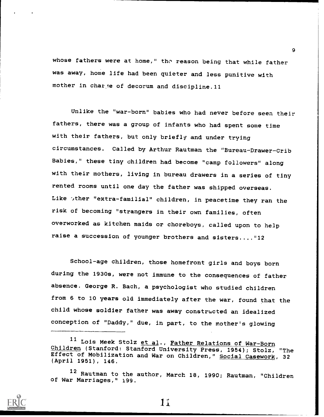whose fathers were at home," the reason being that while father was away, home life had been quieter and less punitive with mother in char te of decorum and discipline.11

Unlike the "war-born" babies who had never before seen their fathers, there was a group of infants who had spent some time with their fathers, but only briefly and under trying circumstances. Called by Arthur Rautman the "Bureau-Drawer-Crib Babies," these tiny children had become "camp followers" along with their mothers, living in bureau drawers in a series of tiny rented rooms until one day the father was shipped overseas. Like  $\sqrt{x}$ ther "extra-familial" children, in peacetime they ran the risk of becoming "strangers in their own families, often overworked as kitchen maids or choreboys, called upon to help raise a succession of younger brothers and sisters...."12

School-age children, those homefront girls and boys born during the 1930s, were not immune to the consequences of father absence. George R. Bach, a psychologist who studied children from 6 to 10 years old immediately after the war, found that the child whose soldier father was away constructed an idealized conception of "Daddy," due, in part, to the mother's glowing

9



1i

<sup>11</sup> Lois Meek Stolz et al., Father Relations of War-Born Children (Stanford: Stanford University Press, 1954); Stolz, "The Effect of Mobilization and War on Children," Social Casework, 32 (April 1951), 146.

<sup>12</sup> Rautman to the author, March 18, 1990; Rautman, "Children of War Marriages," 199.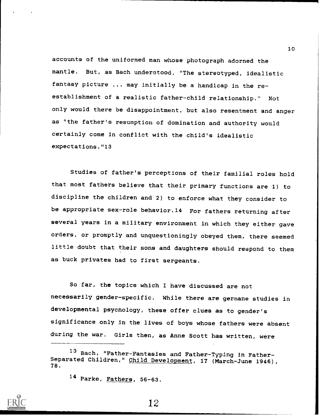accounts of the uniformed man whose photograph adorned the mantle. But, as Bach underotood, "The stereotyped, idealistic fantasy picture ... may initially be a handicap in the reestablishment of a realistic father-child relationship." Not only would there be disappointment, but also resentment and anger as "the father's resumption of domination and authority would certainly come in conflict with the child's idealistic expectations."13

Studies of father's perceptions of their familial roles hold that most fathers believe that their primary functions are 1) to discipline the children and 2) to enforce what they consider to be appropriate sex-role behavior.14 For fathers returning after several years in a military environment in which they either gave orders, or promptly and unquestioningly obeyed them, there seemed little doubt that their sons and daughters should respond to them as buck privates had to first sergeants.

So far, the topics which I have discussed are not necessarily gender-specific. While there are germane studies in developmental psychology, these offer clues as to gender's significance only in the lives of boys whose fathers were absent during the war. Girls then, as Anne Scott has written, were

12

<sup>13</sup> Bach, "Father-Fantasies and Father-Typing in Father-Separated Children," <u>Child Development,</u> 17 (March-June 1946),<br>78.

<sup>14</sup> Parke, Fathers, 56-63.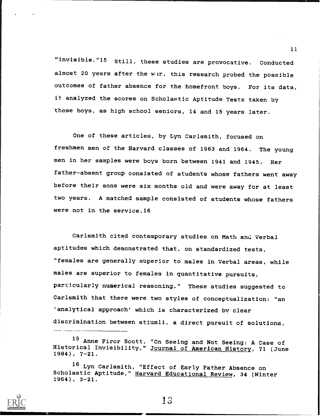"invisible."15 Still, these studies are provocative. Conducted almost 20 years after the war, this research probed the possible outcomes of father absence for the homefront boys. For its data, it analyzed the scores on Scholastic Aptitude Tests taken by these boys, as high school seniors, 14 and 15 years later.

One of these articles, by Lyn Carlsmith, focused on freshmen men of the Harvard classes of 1963 and 1964. The young men in her samples were boys born between 1941 and 1945. Her father-absent group consisted of students whose fathers went away before their sons were six months old and were away for at least two years. A matched sample consisted of students whose fathers were not in the service.16

Carlsmith cited contemporary studies on Math and Verbal aptitudes which demonstrated that, on standardized tests, "females are generally superior to males in Verbal areas, while males are superior to females in quantitative pursuits, particularly numerical reasoning." These studies suggested to Carlsmith that there were two styles of conceptualization: "an 'analytical approach' which is characterized by clear discrimination between stiumli, a direct pursuit of solutions,

13

<sup>15</sup> Anne Firor Scott, "On Seeing and Not Seeing: A Case of Historical Invisibility," Journal of American History, 71 (June 1984), 7-21.

<sup>16</sup> Lyn Carlsmith, "Effect of Early Father Absence on Scholastic Aptitude," Harvard Educational Review, 34 (Winter 1964), 3-21.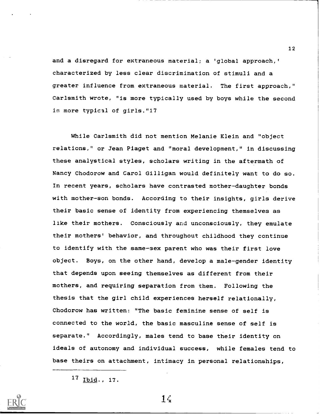and a disregard for extraneous material; a 'global approach,' characterized by less clear discrimination of stimuli and a greater influence from extraneous material. The first approach," Carlsmith wrote, "is more typically used by boys while the second is more typical of girls."17

While Carlsmith did not mention Melanie Klein and "object relations," or Jean Piaget and "moral development," in discussing these analystical styles, scholars writing in the aftermath of Nancy Chodorow and Carol Gilligan would definitely want to do so. In recent years, scholars have contrasted mother-daughter bonds with mother-son bonds. According to their insights, girls derive their basic sense of identity from experiencing themselves as like their mothers. Consciously and unconsciously, they emulate their mothers' behavior, and throughout childhood they continue to identify with the same-sex parent who was their first love object. Boys, on the other hand, develop a male-gender identity that depends upon seeing themselves as different from their mothers, and requiring separation from them. Following the thesis that the girl child experiences herself relationally, Chodorow has written: "The basic feminine sense of self is connected to the world, the basic masculine sense of self is separate." Accordingly, males tend to base their identity on ideals of autonomy and individual success, while females tend to base theirs on attachment, intimacy in personal relationships,

<sup>17</sup> Ibid., 17.

 $1\zeta$ 

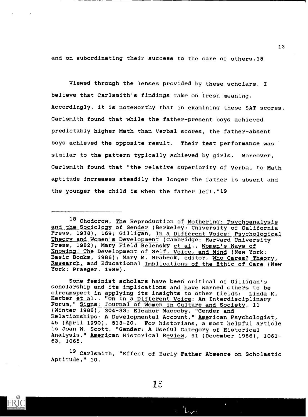and on subordinating their success to the care of others.18

Viewed through the lenses provided by these scholars, <sup>I</sup> believe that Carlsmith's findings take on fresh meaning. Accordingly, it is noteworthy that in examining these SAT scores, Carlsmith found that while the father-present boys achieved predictably higher Math than Verbal scores, the father-absent boys achieved the opposite result. Their test performance was similar to the pattern typically achieved by girls. Moreover, Carlsmith found that "the relative superiority of Verbal to Math aptitude increases steadily the longer the father is absent and the younger the child is when the father left."19

Some feminist scholars have been critical of Gilligan's scholarship and its implications and have warned others to be circumspect in applying its insights to other fields: Linda K. Kerber et al., "On In a Different Voice: An Interdisciplinary Forum," Signs: Journal of Women in Culture and Society, 11 (Winter 1986), 304-33; Eleanor Maccoby, "Gender and Relationships: A Developmental Account," American Psychologist, 45 (April 1990), 513-20. For historians, a most helpful article is Joan W. Scott, "Gender: A Useful Category of Historical Analysis," American Historical Review, 91 (December 1986), 1061- 63, 1065.

<sup>19</sup> Carlsmith, "Effect of Early Father Absence on Scholastic Aptitude," 10.





<sup>18</sup> Chodorow, The Reproduction of Mothering: Psychoanalysis and the Sociology of Gender (Berkeley: University of California Press, 1978), 169; Gilligan, In a Different Voice: Psychological Theory and Women's Development (Cambridge: Harvard University Press, 1982); Mary Field Belensky et al., Women's Ways of Knowing: The Development of Self, Voice, and Mind (New York: Basic Books, 1986); Mary M. Brabeck, editor, Who Cares? Theory, Research, and Educational Implications of the Ethic of Care (New York: Praeger, 1989).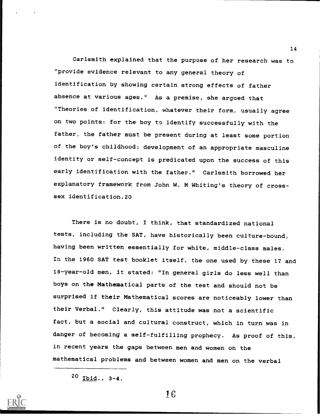Carlsmith explained that the purpose of her research was to "provide evidence relevant to any general theory of identification by showing certain strong effects of father absence at various ages." As a premise, she argued that "Theories of identification, whatever their form, usually agree on two points: for the boy to identify successfully with the father, the father must be present during at least some portion of the boy's childhood; development of an appropriate masculine identity or self-concept is predicated upon the success of this early identification with the father." Carlsmith borrowed her explanatory framework from John W. M Whiting's theory of crosssex identification.20

There is no doubt, I think, that standardized national tests, including the SAT, have historically been culture-bound, having been written essentially for white, middle-class males. In the 1960 SAT test booklet itself, the one used by these 17 and 18-year-old men, it stated: "In general girls do less well than boys on the Mathematical parts of the test and should not be surprised if their Mathematical scores are noticeably lower than their Verbal." Clearly, this attitude was not a scientific fact, but a social and cultural construct, which in turn was in danger of becoming a self-fulfilling prophecy. As proof of this, in recent years the gaps between men and women on the mathematical problems and between women and men on the verbal

16



<sup>20</sup> Ibid., 3-4.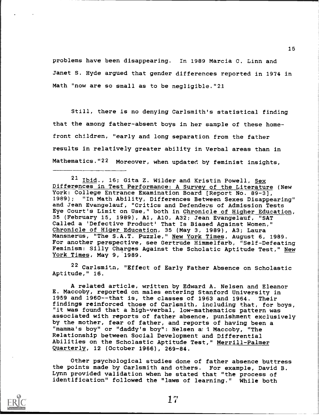problems have been disappearing. In 1989 Marcia C. Linn and Janet S. Hyde argued that gender differences reported in 1974 in Math "now are so small as to be negligible."21

Still, there is no denying Carlsmith's statistical finding that the among father-absent boys in her sample of these homefront children, "early and long separation from the father results in relatively greater ability in Verbal areas than in Mathematics."22 Moreover, when updated by feminist insights,

<sup>21</sup> Ibid., 16; Gita Z. Wilder and Kristin Powell, Sex Differences in Test Performance: A Survey of the Literature (New York: College Entrance Examination Board [Report No. 89-3], "In Math Ability, Differences Between Sexes Disappearing" and Jean Evangelauf, "Critics and Defenders of Admission Tests Eye Court's Limit on Use," both in Chronicle of Higher Education, 35 (February 15, 1989), Al, A10, A32; Jean Evangelauf, "SAT Called a 'Defective Product' That Is Biased Against Women," Chronicle of Higer Education, 35 (May 3, 1989), A3; Laura Mansnerus, "The S.A.T. Puzzle," New York Times, August 6, 1989. For another perspective, see Gertrude Himmelfarb, "Self-Defeating Feminism: Silly Charges Against the Scholatic Aptitude Test," New York Times, May 9, 1989.

<sup>22</sup> Carlsmitn, "Effect of Early Father Absence on Scholastic Aptitude," 16.

A related article, written by Edward A. Nelsen and Eleanor E. Maccoby, reported on males entering Stanford University in 1959 and 1960--that is, the classes of 1963 and 1964. Their findings reinforced those of Carlsmith, including that, for boys, "it was found that a high-verbal, low-mathematics pattern was associated with reports of father absence, punishment exclusively by the mother, fear of father, and reports of having been a "mamma's boy" or "daddy's boy": Nelsen a 1 Maccoby, "The Relationship between Social Development and Differential Abilities on the Scholastic Aptitude Test," Merrill-Palmer Quarterly, 12 (October 1966), 269-84.

Other psychological studies done of father absence buttress the points made by Carlsmith and others. For example, David B. Lynn provided validation when he stated that "the process of identification" followed the "laws of learning." While both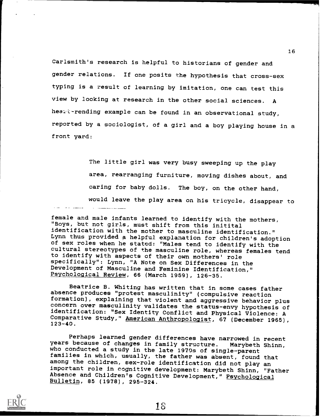Carlsmith's research is helpful to historians of gender and gender relations. If one posits the hypothesis that cross-sex typing is a result of learning by imitation, one can test this view by looking at research in the other social sciences. A healt-rending example can be found in an observational study, reported by a sociologist, of a girl and a boy playing house in a front yard:

> The little girl was very busy sweeping up the play area, rearranging furniture, moving dishes about, and caring for baby dolls. The boy, on the other hand, would leave the play area on his tricycle, disappear to

female and male infants learned to identify with the mothers, "Boys, but not girls, must shift from this initital identification with the mother to masculine identification."<br>Lynn thus provided a helpful explanation for children's adoption of sex roles when he stated: "Males tend to identify with the<br>cultural stereotypes of the masculine role, whereas females tend to identify with aspects of their own mothers' role specifically": Lynn, "A Note on Sex Differences in the Development of Masculine and Feminine Identification," Psychological Review, 66 (March 1959), 126-35.

Beatrice B. Whiting has written that in some cases father absence produces "protest masculinity" (compulsive reaction formation), explaining that violent and aggressive behavior plus<br>concern over masculinity validates the status-envy hypothesis of<br>identification: "Sex Identity Conflict and Physical Violence: A Comparative Study," <u>American Anthropologist</u>, 67 (December 1965), **comparative** (1989), and the set of the set of the set of the set of the set of the set of the set of the set of the set of the set of the set of the set

Perhaps learned gender differences have narrowed in recent years because of changes in family structure. Marybeth Shinn, who conducted a study in the late 1970s of single-parent families in which, usually, the father was absent, found that<br>among the children, sex-role identification did not play an important role in cognitive development: Marybeth Shinn, "Father<br>Absence and Children's Cognitive Development," Psychological<br>Bulletin, 85 (1978), 295-324.

18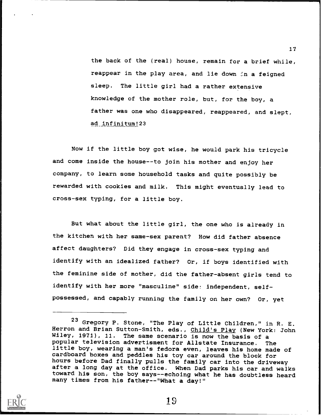the back of the (real) house, remain for a brief while, reappear in the play area, and lie down in a feigned sleep. The little girl had a rather extensive knowledge of the mother role, but, for the boy, a father was one who disappeared, reappeared, and slept, ad infinitum!23

Now if the little boy got wise, he would park his tricycle and come inside the house--to join his mother and enjoy her company, to learn some household tasks and quite possibly be rewarded with cookies and milk. This might eventually lead to cross-sex typing, for a little boy.

But what about the little girl, the one who is already in the kitchen with her same-sex parent? How did father absence affect daughters? Did they engage in cross-sex typing and identify with an idealized father? Or, if boys identified with the feminine side of mother, did the father-absent girls tend to identify with her more "masculine" side: independent, selfpossessed, and capably running the family on her own? Or, yet



19

<sup>23</sup> Gregory P. Stone, "The Play of Little Children," in R. E. Herron and Brian Sutton-Smith, eds., Child's Play (New York: John Wiley, 1971), 11. The same scenario is now the basis of a popular television advertisment for Allstate Insurance. The little boy, wearing a man's fedora even, leaves his home made of cardboard boxes and peddles his toy car around the block for hours before Dad finally pulls the family car into the driveway after a long day at the office. When Dad parks his car and walks toward his son, the boy says--echoing what he has doubtless heard many times from his father--"What a day!"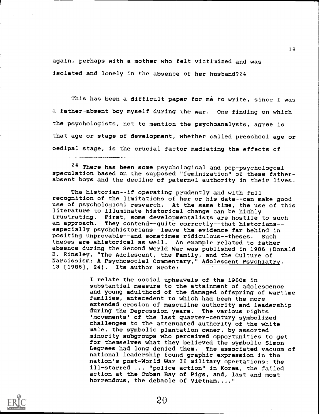again, perhaps with a mother who felt victimized and was isolated and lonely in the absence of her husband?24

This has been a difficult paper for me to write, since I was a father-absent boy myself during the war. One finding on which the psychologists, not to mention the psychoanalysts, agree is that age or stage of development, whether called preschool age or oedipal stage, is the crucial factor mediating the effects of

<sup>24</sup> There has been some psychological and pop-psychologcal speculation based on the supposed "feminization" of these fatherabsent boys and the decline of paternal authority in their lives.

The historian--if operating prudently and with full recognition of the limitations of her or his data--can make good use of psychological research. At the same time, the use of this literature to illuminate historical change can be highly frustrating. First, some developmentalists are hostile to such<br>an approach. They contend--quite correctly--that historians-especially psychohistorians--leave the evidence far behind in positing unprovable--and sometimes ridiculous--theses. Such the9es are ahistorical as well. An example related to father absence during the Second World War was published in 1986 (Donald B. Rinsley, "The Adolescent, the Family, and the Culture of Narcissism: A Psychosocial Commentary,<sup>n</sup> Adolescent Psychiatry, 13 [1986), 24). Its author wrote:

> I relate the social upheavals of the 1960s in substantial measure to the attainment of adolescence and young adulthood of the damaged offspring of wartime families, antecedent to which had been the more extended erosion of masculine authority and leadership during the Depression years. The various rights 'movements' of the last quarter-century symbolized challenges to the attenuated authority of the white male, the symbolic plantation owner, by assorted minority subgroups who perceived opportunities to get for themselves what they believed the symbolic Simon Legrees had long denied them. The associated vacuum of national leadership found graphic expression in the nation's post-World War II military opertations: the ill-starred ... "police action" in Korea, the failed action at the Cuban Bay of Pigs, and, last and most horrendous, the debacle of Vietnam...."



البداليات للأمار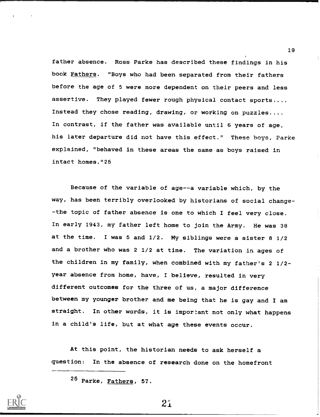father absence. Ross Parke has described these findings in his book Fathers. "Boys who had been separated from their fathers before the age of 5 were more dependent on their peers and less assertive. They played fewer rough physical contact sports.... Instead they chose reading, drawing, or working on puzzles.... In contrast, if the father was available until 6 years of age, his later departure did not have this effect." These boys, Parke explained, "behaved in these areas the same as boys raised in intact homes."25

Because of the variable of age--a variable which, by the way, has been terribly overlooked by historians of social change- -the topic of father absence is one to which I feel very close. In early 1943, my father left home to join the Army. He was 38 at the time. I was 5 and 1/2. My siblings were a sister 8 1/2 and a brother who was 2 1/2 at time. The variation in ages of the children in my family, when combined with my father's 2 1/2 year absence from home, have, I believe, resulted in very different outcomes for the three of us, a major difference between my younger brother and me being that he is gay and I am straight. In other words, it is important not only what happens in a child's life, but at what age these events occur.

At this point, the historian needs to ask herself a question: In the absence of research done on the homefront



21

<sup>25</sup> Parke, Fathers, 57.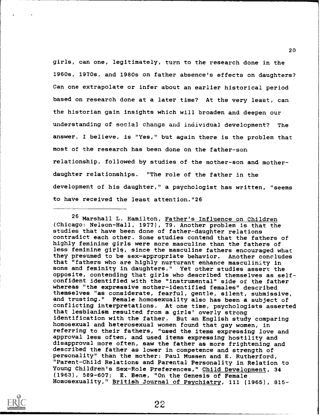girls, can one, legitimately, turn to the research done in the 1960s, 1970s, and 1980s on father absence's effects on daughters? Can one extrapolate or infer about an earlier historical period based on research done at a later time? At the very least, can the historian gain insights which will broaden and deepen our understanding of social change and individual development? The answer, I believe, is "Yes," but again there is the problem that most of the research has been done on the father-son relationship, followed by studies of the mother-son and motherdaughter relationships. "The role of the father in the development of his daughter," a psychologist has written, "seems to have received the least attention."26

<sup>26</sup> Marshall L. Hamilton, Father's Influence on Children (Chicago: Nelson-Hall, 1977), 79. Another problem is that the studies that have been done of father-daughter relations contradict each other. Some studies contend that the fathers of highly feminine girls were more masculine than the fathers of less feminine girls, since the masculine fathers encouraged what they presumed to be sex-appropriate behavior. Another concludes that "fathers who are highly nurturant enhance masculinity in sons and feminity in daughters." Yet other studies assert the opposite, contending that girls who described themselves as selfconfident identified with the "instrumental" side of the father whereas "the expressive mother-identified females" described themselves "as considerate, fearful, gentle, silent, submissive, and trusting." Female homosexuality also has been a subject of conflicting interpretations. At one time, psychologists asserted that lesbianism resulted from a girls' overly strong identification with the father. But an English study comparing homosexual and heterosexual women found that gay women, in referring to their fathers, "used the items expressing love and approval less often, and used items expressing hostility and disapproval more often, saw the father as more frightening and described the father as lower in competence and strength of personality" than the mother: Paul Mussen and E. Rutherford, "Parent-Child Relations and Parental Personality in Relation to Young Children's Sex-Role Preferences," Child Development, 34 (1963), 589-607; E. Bene, "On the Genesis of Female Homosexuality," British Journal of Psychiatry, 111 (1965), 815-

22

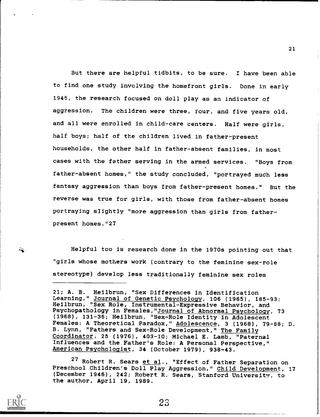But there are helpful tidbits, to be sure. I have been able to find one study involving the homefront girls. Done in early 1945, the research focused on doll play as an indicator of aggression. The children were three, four, and five years old, and all were enrolled in child-care centers. Half were girls, half boys; half of the children lived in father-present households, the other half in father-absent families, in most cases with the father serving in the armed services. "Boys from father-absent homes," the study concluded, "portrayed much less fantasy aggression than boys from father-present homes." But the reverse was true for girls, with those from father-absent homes portraying slightly "more aggression than girls from fatherpresent homes."27

Helpful too is research done in the 1970s pointing out that "girls whose mothers work (contrary to the feminine sex-role stereotype) develop less traditionally feminine sex roles

 $\frac{1}{2}$  .

27 Robert R. Sears et al., "Effect of Father Separation on Preschool Children's Doll Play Aggression," Child Development, 17 (December 1946), 242; Robert R. Sears, Stanford University, to the author, April 19, 1989.

<sup>21;</sup> A. B. Heilbrun, "Sex Differences in Identification Learning," Journal of Genetic Psychology, 106 (1965), 185-93; Heilbrun, "Sex Role, Instrumental-Expressive Behavior, and Psychopathology in Females,"Journal of Abnormal Psychology, 73 (1968), 131-36; Heilbrun, "Sex-Role Identity in Adolescent Females: A Theoretical Paradox," Adolescence, 3 (1968), 79-88; D. B. Lynn, "Fathers and Sex-Role Development," The Family Coordinator, 25 (1976), 403-10; Michael E. Lamb, "Paternal Influences and the Father's Role: A Personal Perspective," American Psychologist, 34 (October 1979), 938-43.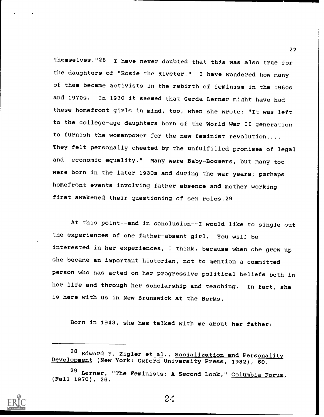themselves."28 I have never doubted that this was also true for the daughters of "Rosie the Riveter." I have wondered how many of them became activists in the rebirth of feminism in the 1960s and 1970s. In 1970 it seemed that Gerda Lerner might have had these homefront girls in mind, too, when she wrote: "It was left to the college-age daughters born of the World War II generation to furnish the womanpower for the new feminist revolution.... They felt personally cheated by the unfulfilled promises of legal and economic equality." Many were Baby-Boomers, but many too were born in the later 1930s and during the war years; perhaps homefront events involving father absence and mother working first awakened their questioning of sex roles.29

At this point--and in conclusion--I would like to single out the experiences of one father-absent girl. You wil: be interested in her experiences, I think, because when she grew up she became an important historian, not to mention a committed person who has acted on her progressive political beliefs both in her life and through her scholarship and teaching. In fact, she is here with us in New Brunswick at the Berks.

Born in 1943, she has talked with me about her father:



<sup>&</sup>lt;sup>28</sup> Edward F. Zigler et al., Socialization and Personality Development (New York: Oxford University Press, 1982), 60.

<sup>29</sup> Lerner, "The Feminists: A Second Look," Columbia Forum, (Fall 1970), 26.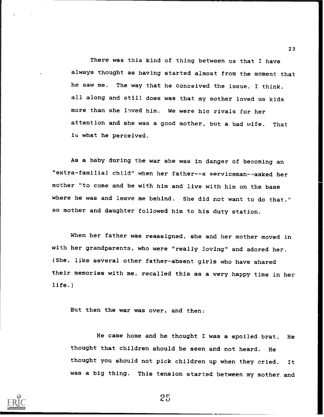There was this kind of thing between us that I have always thought as having started almost from the moment that he saw me. The way that he conceived the issue, I think, all along and still does was that my mother loved us kids more than she loved him. We were his rivals for her attention and she was a good mother, but a bad wife. That is what he perceived.

As a baby during the war she was in danger of becoming an "extra-familial child" when her father--a serviceman--asked her mother "to come and be with him and live with him on the base where he was and leave me behind. She did not want to do that," so mother and daughter followed him to his duty station.

When her father was reassigned, she and her mother moved in with her grandparents, who were "really loving" and adored her. (She, like several other father-absent girls who have shared their memories with me, recalled this as a very happy time in her life.)

But then the war was over, and then:

He came home and he thought I was a spoiled brat. He thought that children should be seen and not heard. He thought you should not pick children up when they cried. It was a big thing. This tension started between my mother. and



25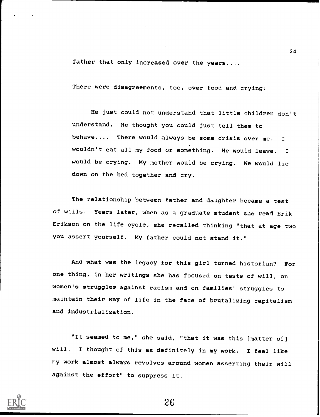father that only increased over the years....

There were disagreements, too, over food and crying:

He just could not understand that little children don't understand. He thought you could just tell them to behave.... There would always be some crisis over me. wouldn't eat all my food or something. He would leave. <sup>I</sup> would be crying. My mother would be crying. We would lie down on the bed together and cry.

The relationship between father and daaghter became a test of wills. Years later, when as a graduate student she read Erik Erikson on the life cycle, she recalled thinking "that at age two you assert yourself. My father could not stand it."

And what was the legacy for this girl turned historian? For one thing, in her writings she has focused on tests of will, on women's struggles against racism and on families' struggles to maintain their way of life in the face of brutalizing capitalism and industrialization.

"It seemed to me," she said, "that it was this [matter of] will. I thought of this as definitely in my work. I feel like my work almost always revolves around women asserting their will against the effort" to suppress it.

26

24

 $\mathbf{I}$